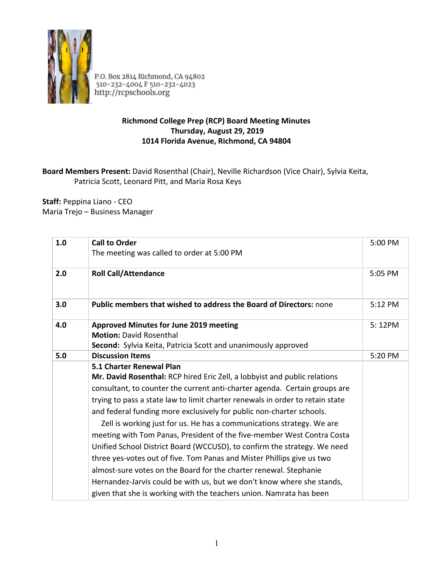

P.O. Box 2814 Richmond, CA 94802<br>510-232-4004 F 510-232-4023<br>http://rcpschools.org

## **Richmond College Prep (RCP) Board Meeting Minutes Thursday, August 29, 2019 1014 Florida Avenue, Richmond, CA 94804**

## **Board Members Present:** David Rosenthal (Chair), Neville Richardson (Vice Chair), Sylvia Keita, Patricia Scott, Leonard Pitt, and Maria Rosa Keys

**Staff:** Peppina Liano - CEO Maria Trejo – Business Manager

| 1.0 | <b>Call to Order</b><br>The meeting was called to order at 5:00 PM                                                                                                                                                                                                                                                                                                                                                                                                                                                                                                                                                                                                                                                                                                                                                                                                          | 5:00 PM |
|-----|-----------------------------------------------------------------------------------------------------------------------------------------------------------------------------------------------------------------------------------------------------------------------------------------------------------------------------------------------------------------------------------------------------------------------------------------------------------------------------------------------------------------------------------------------------------------------------------------------------------------------------------------------------------------------------------------------------------------------------------------------------------------------------------------------------------------------------------------------------------------------------|---------|
| 2.0 | <b>Roll Call/Attendance</b>                                                                                                                                                                                                                                                                                                                                                                                                                                                                                                                                                                                                                                                                                                                                                                                                                                                 | 5:05 PM |
| 3.0 | <b>Public members that wished to address the Board of Directors: none</b>                                                                                                                                                                                                                                                                                                                                                                                                                                                                                                                                                                                                                                                                                                                                                                                                   | 5:12 PM |
| 4.0 | <b>Approved Minutes for June 2019 meeting</b><br><b>Motion: David Rosenthal</b><br>Second: Sylvia Keita, Patricia Scott and unanimously approved                                                                                                                                                                                                                                                                                                                                                                                                                                                                                                                                                                                                                                                                                                                            | 5:12PM  |
| 5.0 | <b>Discussion Items</b>                                                                                                                                                                                                                                                                                                                                                                                                                                                                                                                                                                                                                                                                                                                                                                                                                                                     | 5:20 PM |
|     | 5.1 Charter Renewal Plan<br>Mr. David Rosenthal: RCP hired Eric Zell, a lobbyist and public relations<br>consultant, to counter the current anti-charter agenda. Certain groups are<br>trying to pass a state law to limit charter renewals in order to retain state<br>and federal funding more exclusively for public non-charter schools.<br>Zell is working just for us. He has a communications strategy. We are<br>meeting with Tom Panas, President of the five-member West Contra Costa<br>Unified School District Board (WCCUSD), to confirm the strategy. We need<br>three yes-votes out of five. Tom Panas and Mister Phillips give us two<br>almost-sure votes on the Board for the charter renewal. Stephanie<br>Hernandez-Jarvis could be with us, but we don't know where she stands,<br>given that she is working with the teachers union. Namrata has been |         |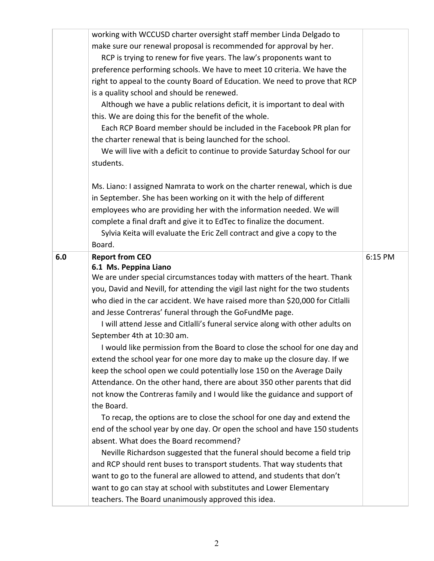|     | working with WCCUSD charter oversight staff member Linda Delgado to            |         |
|-----|--------------------------------------------------------------------------------|---------|
|     | make sure our renewal proposal is recommended for approval by her.             |         |
|     | RCP is trying to renew for five years. The law's proponents want to            |         |
|     | preference performing schools. We have to meet 10 criteria. We have the        |         |
|     | right to appeal to the county Board of Education. We need to prove that RCP    |         |
|     | is a quality school and should be renewed.                                     |         |
|     | Although we have a public relations deficit, it is important to deal with      |         |
|     | this. We are doing this for the benefit of the whole.                          |         |
|     | Each RCP Board member should be included in the Facebook PR plan for           |         |
|     | the charter renewal that is being launched for the school.                     |         |
|     | We will live with a deficit to continue to provide Saturday School for our     |         |
|     | students.                                                                      |         |
|     | Ms. Liano: I assigned Namrata to work on the charter renewal, which is due     |         |
|     | in September. She has been working on it with the help of different            |         |
|     | employees who are providing her with the information needed. We will           |         |
|     | complete a final draft and give it to EdTec to finalize the document.          |         |
|     | Sylvia Keita will evaluate the Eric Zell contract and give a copy to the       |         |
|     | Board.                                                                         |         |
| 6.0 | <b>Report from CEO</b>                                                         | 6:15 PM |
|     |                                                                                |         |
|     | 6.1 Ms. Peppina Liano                                                          |         |
|     | We are under special circumstances today with matters of the heart. Thank      |         |
|     | you, David and Nevill, for attending the vigil last night for the two students |         |
|     | who died in the car accident. We have raised more than \$20,000 for Citlalli   |         |
|     | and Jesse Contreras' funeral through the GoFundMe page.                        |         |
|     | I will attend Jesse and Citlalli's funeral service along with other adults on  |         |
|     | September 4th at 10:30 am.                                                     |         |
|     | I would like permission from the Board to close the school for one day and     |         |
|     | extend the school year for one more day to make up the closure day. If we      |         |
|     | keep the school open we could potentially lose 150 on the Average Daily        |         |
|     | Attendance. On the other hand, there are about 350 other parents that did      |         |
|     | not know the Contreras family and I would like the guidance and support of     |         |
|     | the Board.                                                                     |         |
|     | To recap, the options are to close the school for one day and extend the       |         |
|     | end of the school year by one day. Or open the school and have 150 students    |         |
|     | absent. What does the Board recommend?                                         |         |
|     | Neville Richardson suggested that the funeral should become a field trip       |         |
|     | and RCP should rent buses to transport students. That way students that        |         |
|     | want to go to the funeral are allowed to attend, and students that don't       |         |
|     | want to go can stay at school with substitutes and Lower Elementary            |         |